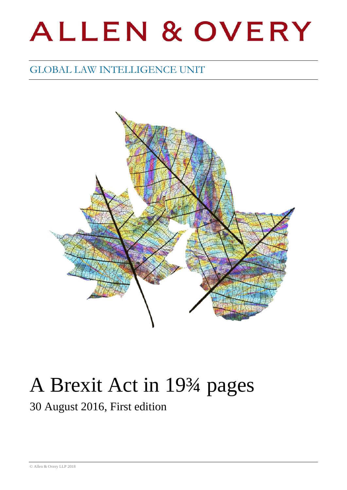# **ALLEN & OVERY**

## GLOBAL LAW INTELLIGENCE UNIT



## A Brexit Act in 19¾ pages

30 August 2016, First edition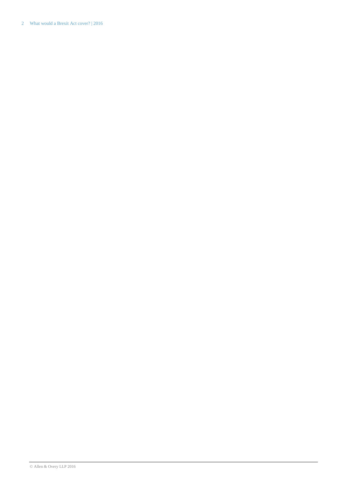2 What would a Brexit Act cover? | 2016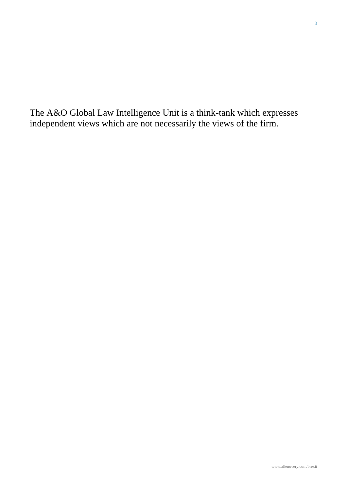The A&O Global Law Intelligence Unit is a think-tank which expresses independent views which are not necessarily the views of the firm.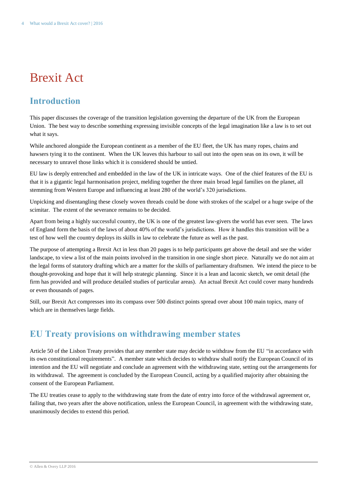## Brexit Act

#### **Introduction**

This paper discusses the coverage of the transition legislation governing the departure of the UK from the European Union. The best way to describe something expressing invisible concepts of the legal imagination like a law is to set out what it says.

While anchored alongside the European continent as a member of the EU fleet, the UK has many ropes, chains and hawsers tying it to the continent. When the UK leaves this harbour to sail out into the open seas on its own, it will be necessary to unravel those links which it is considered should be untied.

EU law is deeply entrenched and embedded in the law of the UK in intricate ways. One of the chief features of the EU is that it is a gigantic legal harmonisation project, melding together the three main broad legal families on the planet, all stemming from Western Europe and influencing at least 280 of the world's 320 jurisdictions.

Unpicking and disentangling these closely woven threads could be done with strokes of the scalpel or a huge swipe of the scimitar. The extent of the severance remains to be decided.

Apart from being a highly successful country, the UK is one of the greatest law-givers the world has ever seen. The laws of England form the basis of the laws of about 40% of the world's jurisdictions. How it handles this transition will be a test of how well the country deploys its skills in law to celebrate the future as well as the past.

The purpose of attempting a Brexit Act in less than 20 pages is to help participants get above the detail and see the wider landscape, to view a list of the main points involved in the transition in one single short piece. Naturally we do not aim at the legal forms of statutory drafting which are a matter for the skills of parliamentary draftsmen. We intend the piece to be thought-provoking and hope that it will help strategic planning. Since it is a lean and laconic sketch, we omit detail (the firm has provided and will produce detailed studies of particular areas). An actual Brexit Act could cover many hundreds or even thousands of pages.

Still, our Brexit Act compresses into its compass over 500 distinct points spread over about 100 main topics, many of which are in themselves large fields.

#### **EU Treaty provisions on withdrawing member states**

Article 50 of the Lisbon Treaty provides that any member state may decide to withdraw from the EU "in accordance with its own constitutional requirements". A member state which decides to withdraw shall notify the European Council of its intention and the EU will negotiate and conclude an agreement with the withdrawing state, setting out the arrangements for its withdrawal. The agreement is concluded by the European Council, acting by a qualified majority after obtaining the consent of the European Parliament.

The EU treaties cease to apply to the withdrawing state from the date of entry into force of the withdrawal agreement or, failing that, two years after the above notification, unless the European Council, in agreement with the withdrawing state, unanimously decides to extend this period.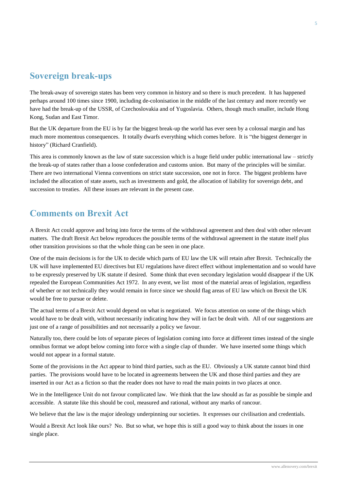#### **Sovereign break-ups**

The break-away of sovereign states has been very common in history and so there is much precedent. It has happened perhaps around 100 times since 1900, including de-colonisation in the middle of the last century and more recently we have had the break-up of the USSR, of Czechoslovakia and of Yugoslavia. Others, though much smaller, include Hong Kong, Sudan and East Timor.

But the UK departure from the EU is by far the biggest break-up the world has ever seen by a colossal margin and has much more momentous consequences. It totally dwarfs everything which comes before. It is "the biggest demerger in history" (Richard Cranfield).

This area is commonly known as the law of state succession which is a huge field under public international law – strictly the break-up of states rather than a loose confederation and customs union. But many of the principles will be similar. There are two international Vienna conventions on strict state succession, one not in force. The biggest problems have included the allocation of state assets, such as investments and gold, the allocation of liability for sovereign debt, and succession to treaties. All these issues are relevant in the present case.

#### **Comments on Brexit Act**

A Brexit Act could approve and bring into force the terms of the withdrawal agreement and then deal with other relevant matters. The draft Brexit Act below reproduces the possible terms of the withdrawal agreement in the statute itself plus other transition provisions so that the whole thing can be seen in one place.

One of the main decisions is for the UK to decide which parts of EU law the UK will retain after Brexit. Technically the UK will have implemented EU directives but EU regulations have direct effect without implementation and so would have to be expressly preserved by UK statute if desired. Some think that even secondary legislation would disappear if the UK repealed the European Communities Act 1972. In any event, we list most of the material areas of legislation, regardless of whether or not technically they would remain in force since we should flag areas of EU law which on Brexit the UK would be free to pursue or delete.

The actual terms of a Brexit Act would depend on what is negotiated. We focus attention on some of the things which would have to be dealt with, without necessarily indicating how they will in fact be dealt with. All of our suggestions are just one of a range of possibilities and not necessarily a policy we favour.

Naturally too, there could be lots of separate pieces of legislation coming into force at different times instead of the single omnibus format we adopt below coming into force with a single clap of thunder. We have inserted some things which would not appear in a formal statute.

Some of the provisions in the Act appear to bind third parties, such as the EU. Obviously a UK statute cannot bind third parties. The provisions would have to be located in agreements between the UK and those third parties and they are inserted in our Act as a fiction so that the reader does not have to read the main points in two places at once.

We in the Intelligence Unit do not favour complicated law. We think that the law should as far as possible be simple and accessible. A statute like this should be cool, measured and rational, without any marks of rancour.

We believe that the law is the major ideology underpinning our societies. It expresses our civilisation and credentials.

Would a Brexit Act look like ours? No. But so what, we hope this is still a good way to think about the issues in one single place.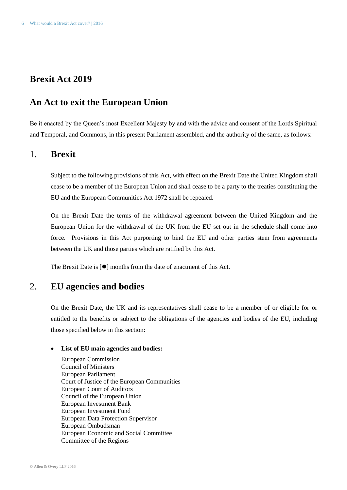#### **Brexit Act 2019**

#### **An Act to exit the European Union**

Be it enacted by the Queen's most Excellent Majesty by and with the advice and consent of the Lords Spiritual and Temporal, and Commons, in this present Parliament assembled, and the authority of the same, as follows:

#### 1. **Brexit**

Subject to the following provisions of this Act, with effect on the Brexit Date the United Kingdom shall cease to be a member of the European Union and shall cease to be a party to the treaties constituting the EU and the European Communities Act 1972 shall be repealed.

On the Brexit Date the terms of the withdrawal agreement between the United Kingdom and the European Union for the withdrawal of the UK from the EU set out in the schedule shall come into force. Provisions in this Act purporting to bind the EU and other parties stem from agreements between the UK and those parties which are ratified by this Act.

The Brexit Date is  $[\bullet]$  months from the date of enactment of this Act.

#### 2. **EU agencies and bodies**

On the Brexit Date, the UK and its representatives shall cease to be a member of or eligible for or entitled to the benefits or subject to the obligations of the agencies and bodies of the EU, including those specified below in this section:

#### **List of EU main agencies and bodies:**

European Commission Council of Ministers European Parliament Court of Justice of the European Communities European Court of Auditors Council of the European Union European Investment Bank European Investment Fund European Data Protection Supervisor European Ombudsman European Economic and Social Committee Committee of the Regions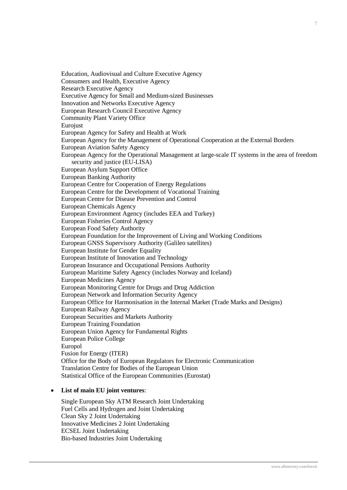Education, Audiovisual and Culture Executive Agency Consumers and Health, Executive Agency Research Executive Agency Executive Agency for Small and Medium-sized Businesses Innovation and Networks Executive Agency European Research Council Executive Agency Community Plant Variety Office Eurojust European Agency for Safety and Health at Work European Agency for the Management of Operational Cooperation at the External Borders European Aviation Safety Agency European Agency for the Operational Management at large-scale IT systems in the area of freedom security and justice (EU-LISA) European Asylum Support Office European Banking Authority European Centre for Cooperation of Energy Regulations European Centre for the Development of Vocational Training European Centre for Disease Prevention and Control European Chemicals Agency European Environment Agency (includes EEA and Turkey) European Fisheries Control Agency European Food Safety Authority European Foundation for the Improvement of Living and Working Conditions European GNSS Supervisory Authority (Galileo satellites) European Institute for Gender Equality European Institute of Innovation and Technology European Insurance and Occupational Pensions Authority European Maritime Safety Agency (includes Norway and Iceland) European Medicines Agency European Monitoring Centre for Drugs and Drug Addiction European Network and Information Security Agency European Office for Harmonisation in the Internal Market (Trade Marks and Designs) European Railway Agency European Securities and Markets Authority European Training Foundation European Union Agency for Fundamental Rights European Police College Europol Fusion for Energy (ITER) Office for the Body of European Regulators for Electronic Communication Translation Centre for Bodies of the European Union Statistical Office of the European Communities (Eurostat)

#### **List of main EU joint ventures**:

Single European Sky ATM Research Joint Undertaking Fuel Cells and Hydrogen and Joint Undertaking Clean Sky 2 Joint Undertaking Innovative Medicines 2 Joint Undertaking ECSEL Joint Undertaking Bio-based Industries Joint Undertaking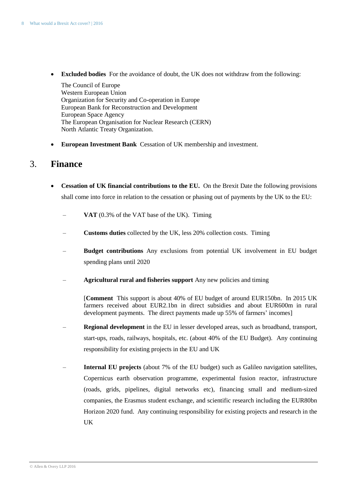**Excluded bodies** For the avoidance of doubt, the UK does not withdraw from the following:

The Council of Europe Western European Union Organization for Security and Co-operation in Europe European Bank for Reconstruction and Development European Space Agency The European Organisation for Nuclear Research (CERN) North Atlantic Treaty Organization.

**European Investment Bank** Cessation of UK membership and investment.

#### 3. **Finance**

- **Cessation of UK financial contributions to the EU.** On the Brexit Date the following provisions shall come into force in relation to the cessation or phasing out of payments by the UK to the EU:
	- VAT (0.3% of the VAT base of the UK). Timing
	- **Customs duties** collected by the UK, less 20% collection costs. Timing
	- **Budget contributions** Any exclusions from potential UK involvement in EU budget spending plans until 2020
	- **Agricultural rural and fisheries support** Any new policies and timing

[**Comment** This support is about 40% of EU budget of around EUR150bn. In 2015 UK farmers received about EUR2.1bn in direct subsidies and about EUR600m in rural development payments. The direct payments made up 55% of farmers' incomes]

- **Regional development** in the EU in lesser developed areas, such as broadband, transport, start-ups, roads, railways, hospitals, etc. (about 40% of the EU Budget). Any continuing responsibility for existing projects in the EU and UK
- **Internal EU projects** (about 7% of the EU budget) such as Galileo navigation satellites, Copernicus earth observation programme, experimental fusion reactor, infrastructure (roads, grids, pipelines, digital networks etc), financing small and medium-sized companies, the Erasmus student exchange, and scientific research including the EUR80bn Horizon 2020 fund. Any continuing responsibility for existing projects and research in the UK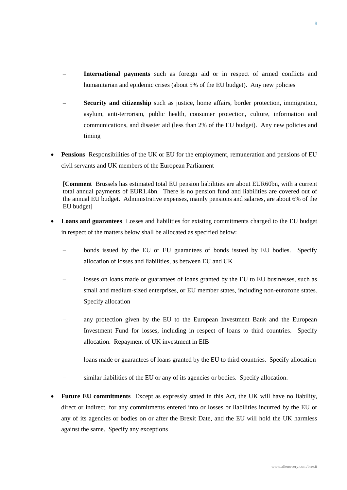- **International payments** such as foreign aid or in respect of armed conflicts and humanitarian and epidemic crises (about 5% of the EU budget). Any new policies
- Security and citizenship such as justice, home affairs, border protection, immigration, asylum, anti-terrorism, public health, consumer protection, culture, information and communications, and disaster aid (less than 2% of the EU budget). Any new policies and timing
- **Pensions** Responsibilities of the UK or EU for the employment, remuneration and pensions of EU civil servants and UK members of the European Parliament

[**Comment** Brussels has estimated total EU pension liabilities are about EUR60bn, with a current total annual payments of EUR1.4bn. There is no pension fund and liabilities are covered out of the annual EU budget. Administrative expenses, mainly pensions and salaries, are about 6% of the EU budget]

- **Loans and guarantees** Losses and liabilities for existing commitments charged to the EU budget in respect of the matters below shall be allocated as specified below:
	- bonds issued by the EU or EU guarantees of bonds issued by EU bodies. Specify allocation of losses and liabilities, as between EU and UK
	- losses on loans made or guarantees of loans granted by the EU to EU businesses, such as small and medium-sized enterprises, or EU member states, including non-eurozone states. Specify allocation
	- any protection given by the EU to the European Investment Bank and the European Investment Fund for losses, including in respect of loans to third countries. Specify allocation. Repayment of UK investment in EIB
	- loans made or guarantees of loans granted by the EU to third countries. Specify allocation
	- similar liabilities of the EU or any of its agencies or bodies. Specify allocation.
- **Future EU commitments** Except as expressly stated in this Act, the UK will have no liability, direct or indirect, for any commitments entered into or losses or liabilities incurred by the EU or any of its agencies or bodies on or after the Brexit Date, and the EU will hold the UK harmless against the same. Specify any exceptions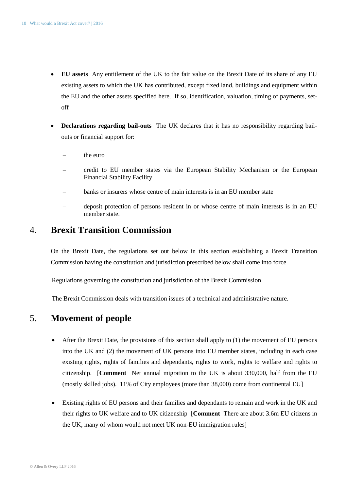- **EU assets** Any entitlement of the UK to the fair value on the Brexit Date of its share of any EU existing assets to which the UK has contributed, except fixed land, buildings and equipment within the EU and the other assets specified here. If so, identification, valuation, timing of payments, setoff
- **Declarations regarding bail-outs** The UK declares that it has no responsibility regarding bailouts or financial support for:
	- the euro
	- credit to EU member states via the European Stability Mechanism or the European Financial Stability Facility
	- banks or insurers whose centre of main interests is in an EU member state
	- deposit protection of persons resident in or whose centre of main interests is in an EU member state.

#### 4. **Brexit Transition Commission**

On the Brexit Date, the regulations set out below in this section establishing a Brexit Transition Commission having the constitution and jurisdiction prescribed below shall come into force

Regulations governing the constitution and jurisdiction of the Brexit Commission

The Brexit Commission deals with transition issues of a technical and administrative nature.

#### 5. **Movement of people**

- After the Brexit Date, the provisions of this section shall apply to (1) the movement of EU persons into the UK and (2) the movement of UK persons into EU member states, including in each case existing rights, rights of families and dependants, rights to work, rights to welfare and rights to citizenship. [**Comment** Net annual migration to the UK is about 330,000, half from the EU (mostly skilled jobs). 11% of City employees (more than 38,000) come from continental EU]
- Existing rights of EU persons and their families and dependants to remain and work in the UK and their rights to UK welfare and to UK citizenship [**Comment** There are about 3.6m EU citizens in the UK, many of whom would not meet UK non-EU immigration rules]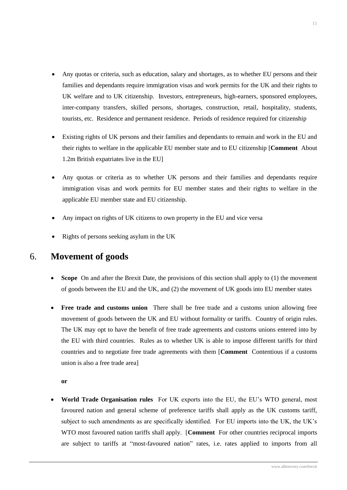- Any quotas or criteria, such as education, salary and shortages, as to whether EU persons and their families and dependants require immigration visas and work permits for the UK and their rights to UK welfare and to UK citizenship. Investors, entrepreneurs, high-earners, sponsored employees, inter-company transfers, skilled persons, shortages, construction, retail, hospitality, students, tourists, etc. Residence and permanent residence. Periods of residence required for citizenship
- Existing rights of UK persons and their families and dependants to remain and work in the EU and their rights to welfare in the applicable EU member state and to EU citizenship [**Comment** About 1.2m British expatriates live in the EU]
- Any quotas or criteria as to whether UK persons and their families and dependants require immigration visas and work permits for EU member states and their rights to welfare in the applicable EU member state and EU citizenship.
- Any impact on rights of UK citizens to own property in the EU and vice versa
- Rights of persons seeking asylum in the UK

#### 6. **Movement of goods**

- Scope On and after the Brexit Date, the provisions of this section shall apply to (1) the movement of goods between the EU and the UK, and (2) the movement of UK goods into EU member states
- **Free trade and customs union** There shall be free trade and a customs union allowing free movement of goods between the UK and EU without formality or tariffs. Country of origin rules. The UK may opt to have the benefit of free trade agreements and customs unions entered into by the EU with third countries. Rules as to whether UK is able to impose different tariffs for third countries and to negotiate free trade agreements with them [**Comment** Contentious if a customs union is also a free trade area]

**or** 

 **World Trade Organisation rules** For UK exports into the EU, the EU's WTO general, most favoured nation and general scheme of preference tariffs shall apply as the UK customs tariff, subject to such amendments as are specifically identified. For EU imports into the UK, the UK's WTO most favoured nation tariffs shall apply. [**Comment** For other countries reciprocal imports are subject to tariffs at "most-favoured nation" rates, i.e. rates applied to imports from all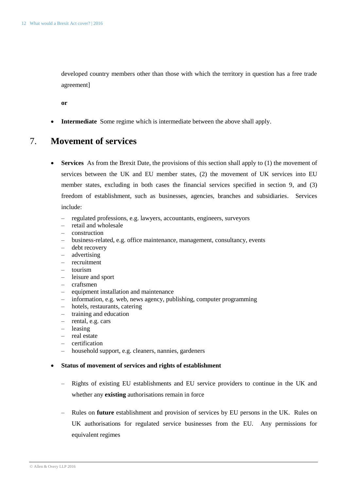developed country members other than those with which the territory in question has a free trade agreement]

**or**

**Intermediate** Some regime which is intermediate between the above shall apply.

#### 7. **Movement of services**

- **Services** As from the Brexit Date, the provisions of this section shall apply to (1) the movement of services between the UK and EU member states, (2) the movement of UK services into EU member states, excluding in both cases the financial services specified in section 9, and (3) freedom of establishment, such as businesses, agencies, branches and subsidiaries. Services include:
	- regulated professions, e.g. lawyers, accountants, engineers, surveyors
	- retail and wholesale
	- construction
	- business-related, e.g. office maintenance, management, consultancy, events
	- debt recovery
	- advertising
	- recruitment
	- tourism
	- leisure and sport
	- craftsmen
	- equipment installation and maintenance
	- information, e.g. web, news agency, publishing, computer programming
	- hotels, restaurants, catering
	- training and education
	- rental, e.g. cars
	- leasing
	- real estate
	- certification
	- household support, e.g. cleaners, nannies, gardeners
- **Status of movement of services and rights of establishment**
	- Rights of existing EU establishments and EU service providers to continue in the UK and whether any **existing** authorisations remain in force
	- Rules on **future** establishment and provision of services by EU persons in the UK. Rules on UK authorisations for regulated service businesses from the EU. Any permissions for equivalent regimes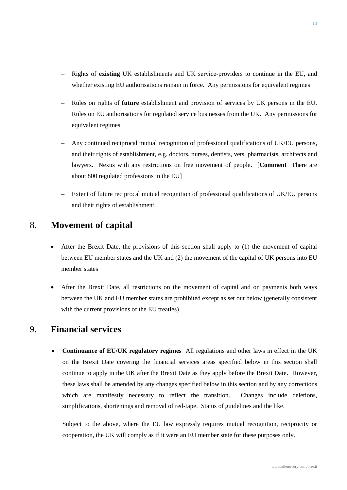- Rights of **existing** UK establishments and UK service-providers to continue in the EU, and whether existing EU authorisations remain in force. Any permissions for equivalent regimes
- Rules on rights of **future** establishment and provision of services by UK persons in the EU. Rules on EU authorisations for regulated service businesses from the UK. Any permissions for equivalent regimes
- Any continued reciprocal mutual recognition of professional qualifications of UK/EU persons, and their rights of establishment, e.g. doctors, nurses, dentists, vets, pharmacists, architects and lawyers. Nexus with any restrictions on free movement of people. [**Comment** There are about 800 regulated professions in the EU]
- Extent of future reciprocal mutual recognition of professional qualifications of UK/EU persons and their rights of establishment.

#### 8. **Movement of capital**

- After the Brexit Date, the provisions of this section shall apply to (1) the movement of capital between EU member states and the UK and (2) the movement of the capital of UK persons into EU member states
- After the Brexit Date, all restrictions on the movement of capital and on payments both ways between the UK and EU member states are prohibited except as set out below (generally consistent with the current provisions of the EU treaties).

#### 9. **Financial services**

 **Continuance of EU/UK regulatory regimes** All regulations and other laws in effect in the UK on the Brexit Date covering the financial services areas specified below in this section shall continue to apply in the UK after the Brexit Date as they apply before the Brexit Date. However, these laws shall be amended by any changes specified below in this section and by any corrections which are manifestly necessary to reflect the transition. Changes include deletions, simplifications, shortenings and removal of red-tape. Status of guidelines and the like.

Subject to the above, where the EU law expressly requires mutual recognition, reciprocity or cooperation, the UK will comply as if it were an EU member state for these purposes only.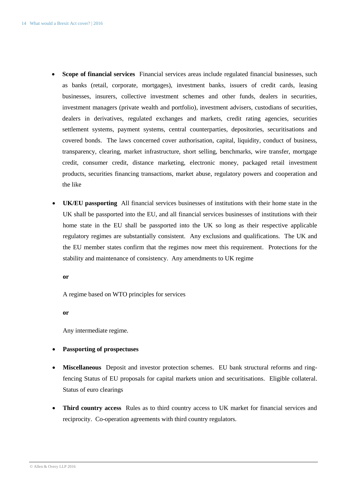- **Scope of financial services** Financial services areas include regulated financial businesses, such as banks (retail, corporate, mortgages), investment banks, issuers of credit cards, leasing businesses, insurers, collective investment schemes and other funds, dealers in securities, investment managers (private wealth and portfolio), investment advisers, custodians of securities, dealers in derivatives, regulated exchanges and markets, credit rating agencies, securities settlement systems, payment systems, central counterparties, depositories, securitisations and covered bonds. The laws concerned cover authorisation, capital, liquidity, conduct of business, transparency, clearing, market infrastructure, short selling, benchmarks, wire transfer, mortgage credit, consumer credit, distance marketing, electronic money, packaged retail investment products, securities financing transactions, market abuse, regulatory powers and cooperation and the like
- **UK/EU passporting** All financial services businesses of institutions with their home state in the UK shall be passported into the EU, and all financial services businesses of institutions with their home state in the EU shall be passported into the UK so long as their respective applicable regulatory regimes are substantially consistent. Any exclusions and qualifications. The UK and the EU member states confirm that the regimes now meet this requirement. Protections for the stability and maintenance of consistency. Any amendments to UK regime

**or**

A regime based on WTO principles for services

**or**

Any intermediate regime.

#### **Passporting of prospectuses**

- **Miscellaneous** Deposit and investor protection schemes. EU bank structural reforms and ringfencing Status of EU proposals for capital markets union and securitisations.Eligible collateral. Status of euro clearings
- **Third country access** Rules as to third country access to UK market for financial services and reciprocity. Co-operation agreements with third country regulators.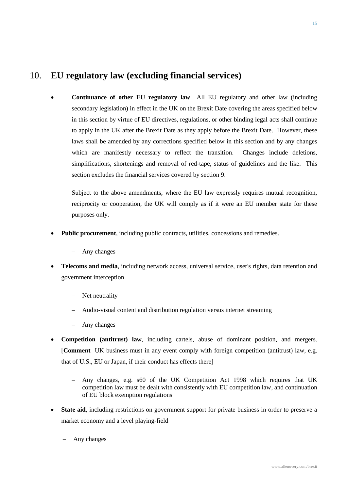#### 10. **EU regulatory law (excluding financial services)**

 **Continuance of other EU regulatory law** All EU regulatory and other law (including secondary legislation) in effect in the UK on the Brexit Date covering the areas specified below in this section by virtue of EU directives, regulations, or other binding legal acts shall continue to apply in the UK after the Brexit Date as they apply before the Brexit Date. However, these laws shall be amended by any corrections specified below in this section and by any changes which are manifestly necessary to reflect the transition. Changes include deletions, simplifications, shortenings and removal of red-tape, status of guidelines and the like. This section excludes the financial services covered by section 9.

Subject to the above amendments, where the EU law expressly requires mutual recognition, reciprocity or cooperation, the UK will comply as if it were an EU member state for these purposes only.

- **Public procurement**, including public contracts, utilities, concessions and remedies.
	- Any changes
- **Telecoms and media**, including network access, universal service, user's rights, data retention and government interception
	- Net neutrality
	- Audio-visual content and distribution regulation versus internet streaming
	- Any changes
- **Competition (antitrust) law**, including cartels, abuse of dominant position, and mergers. [**Comment** UK business must in any event comply with foreign competition (antitrust) law, e.g. that of U.S., EU or Japan, if their conduct has effects there]
	- Any changes, e.g. s60 of the UK Competition Act 1998 which requires that UK competition law must be dealt with consistently with EU competition law, and continuation of EU block exemption regulations
- **State aid**, including restrictions on government support for private business in order to preserve a market economy and a level playing-field
	- Any changes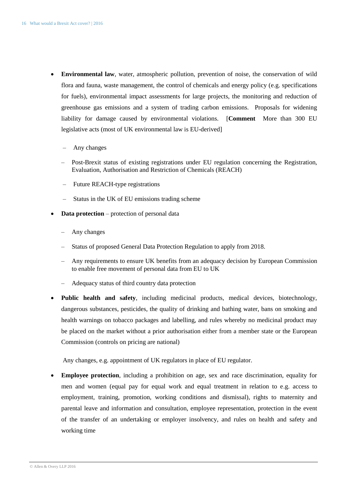- **Environmental law**, water, atmospheric pollution, prevention of noise, the conservation of wild flora and fauna, waste management, the control of chemicals and energy policy (e.g. specifications for fuels), environmental impact assessments for large projects, the monitoring and reduction of greenhouse gas emissions and a system of trading carbon emissions. Proposals for widening liability for damage caused by environmental violations. [**Comment** More than 300 EU legislative acts (most of UK environmental law is EU-derived]
	- Any changes
	- Post-Brexit status of existing registrations under EU regulation concerning the Registration, Evaluation, Authorisation and Restriction of Chemicals (REACH)
	- Future REACH-type registrations
	- Status in the UK of EU emissions trading scheme
- **Data protection** protection of personal data
	- Any changes
	- Status of proposed General Data Protection Regulation to apply from 2018.
	- Any requirements to ensure UK benefits from an adequacy decision by European Commission to enable free movement of personal data from EU to UK
	- Adequacy status of third country data protection
- **Public health and safety**, including medicinal products, medical devices, biotechnology, dangerous substances, pesticides, the quality of drinking and bathing water, bans on smoking and health warnings on tobacco packages and labelling, and rules whereby no medicinal product may be placed on the market without a prior authorisation either from a member state or the European Commission (controls on pricing are national)

Any changes, e.g. appointment of UK regulators in place of EU regulator.

 **Employee protection**, including a prohibition on age, sex and race discrimination, equality for men and women (equal pay for equal work and equal treatment in relation to e.g. access to employment, training, promotion, working conditions and dismissal), rights to maternity and parental leave and information and consultation, employee representation, protection in the event of the transfer of an undertaking or employer insolvency, and rules on health and safety and working time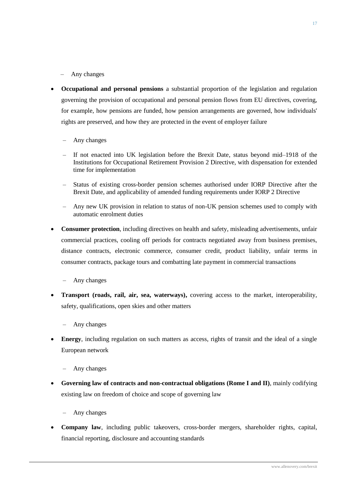– Any changes

- **Occupational and personal pensions** a substantial proportion of the legislation and regulation governing the provision of occupational and personal pension flows from EU directives, covering, for example, how pensions are funded, how pension arrangements are governed, how individuals' rights are preserved, and how they are protected in the event of employer failure
	- Any changes
	- If not enacted into UK legislation before the Brexit Date, status beyond mid–1918 of the Institutions for Occupational Retirement Provision 2 Directive, with dispensation for extended time for implementation
	- Status of existing cross-border pension schemes authorised under IORP Directive after the Brexit Date, and applicability of amended funding requirements under IORP 2 Directive
	- Any new UK provision in relation to status of non-UK pension schemes used to comply with automatic enrolment duties
- **Consumer protection**, including directives on health and safety, misleading advertisements, unfair commercial practices, cooling off periods for contracts negotiated away from business premises, distance contracts, electronic commerce, consumer credit, product liability, unfair terms in consumer contracts, package tours and combatting late payment in commercial transactions
	- Any changes
- **Transport (roads, rail, air, sea, waterways),** covering access to the market, interoperability, safety, qualifications, open skies and other matters
	- Any changes
- **Energy**, including regulation on such matters as access, rights of transit and the ideal of a single European network
	- Any changes
- **Governing law of contracts and non-contractual obligations (Rome I and II)**, mainly codifying existing law on freedom of choice and scope of governing law
	- Any changes
- **Company law**, including public takeovers, cross-border mergers, shareholder rights, capital, financial reporting, disclosure and accounting standards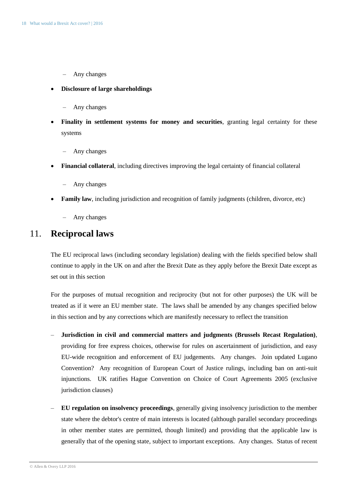- Any changes
- **Disclosure of large shareholdings**
	- Any changes
- **Finality in settlement systems for money and securities**, granting legal certainty for these systems
	- Any changes
- **Financial collateral**, including directives improving the legal certainty of financial collateral
	- Any changes
- **Family law**, including jurisdiction and recognition of family judgments (children, divorce, etc)
	- Any changes

#### 11. **Reciprocal laws**

The EU reciprocal laws (including secondary legislation) dealing with the fields specified below shall continue to apply in the UK on and after the Brexit Date as they apply before the Brexit Date except as set out in this section

For the purposes of mutual recognition and reciprocity (but not for other purposes) the UK will be treated as if it were an EU member state. The laws shall be amended by any changes specified below in this section and by any corrections which are manifestly necessary to reflect the transition

- **Jurisdiction in civil and commercial matters and judgments (Brussels Recast Regulation)**, providing for free express choices, otherwise for rules on ascertainment of jurisdiction, and easy EU-wide recognition and enforcement of EU judgements. Any changes. Join updated Lugano Convention? Any recognition of European Court of Justice rulings, including ban on anti-suit injunctions. UK ratifies Hague Convention on Choice of Court Agreements 2005 (exclusive jurisdiction clauses)
- **EU regulation on insolvency proceedings**, generally giving insolvency jurisdiction to the member state where the debtor's centre of main interests is located (although parallel secondary proceedings in other member states are permitted, though limited) and providing that the applicable law is generally that of the opening state, subject to important exceptions. Any changes. Status of recent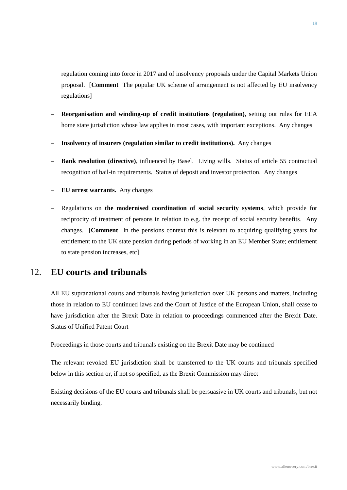regulation coming into force in 2017 and of insolvency proposals under the Capital Markets Union proposal. [**Comment** The popular UK scheme of arrangement is not affected by EU insolvency regulations]

- **Reorganisation and winding-up of credit institutions (regulation)**, setting out rules for EEA home state jurisdiction whose law applies in most cases, with important exceptions. Any changes
- **Insolvency of insurers (regulation similar to credit institutions).** Any changes
- **Bank resolution (directive)**, influenced by Basel. Living wills. Status of article 55 contractual recognition of bail-in requirements. Status of deposit and investor protection. Any changes
- **EU arrest warrants.** Any changes
- Regulations on **the modernised coordination of social security systems**, which provide for reciprocity of treatment of persons in relation to e.g. the receipt of social security benefits. Any changes. [**Comment** In the pensions context this is relevant to acquiring qualifying years for entitlement to the UK state pension during periods of working in an EU Member State; entitlement to state pension increases, etc]

#### 12. **EU courts and tribunals**

All EU supranational courts and tribunals having jurisdiction over UK persons and matters, including those in relation to EU continued laws and the Court of Justice of the European Union, shall cease to have jurisdiction after the Brexit Date in relation to proceedings commenced after the Brexit Date. Status of Unified Patent Court

Proceedings in those courts and tribunals existing on the Brexit Date may be continued

The relevant revoked EU jurisdiction shall be transferred to the UK courts and tribunals specified below in this section or, if not so specified, as the Brexit Commission may direct

Existing decisions of the EU courts and tribunals shall be persuasive in UK courts and tribunals, but not necessarily binding.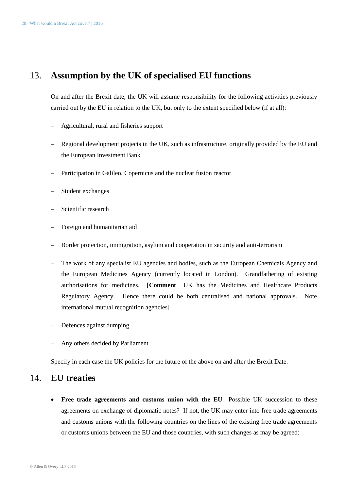#### 13. **Assumption by the UK of specialised EU functions**

On and after the Brexit date, the UK will assume responsibility for the following activities previously carried out by the EU in relation to the UK, but only to the extent specified below (if at all):

- Agricultural, rural and fisheries support
- Regional development projects in the UK, such as infrastructure, originally provided by the EU and the European Investment Bank
- Participation in Galileo, Copernicus and the nuclear fusion reactor
- Student exchanges
- Scientific research
- Foreign and humanitarian aid
- Border protection, immigration, asylum and cooperation in security and anti-terrorism
- The work of any specialist EU agencies and bodies, such as the European Chemicals Agency and the European Medicines Agency (currently located in London). Grandfathering of existing authorisations for medicines. [**Comment** UK has the Medicines and Healthcare Products Regulatory Agency. Hence there could be both centralised and national approvals. Note international mutual recognition agencies]
- Defences against dumping
- Any others decided by Parliament

Specify in each case the UK policies for the future of the above on and after the Brexit Date.

#### 14. **EU treaties**

 **Free trade agreements and customs union with the EU** Possible UK succession to these agreements on exchange of diplomatic notes? If not, the UK may enter into free trade agreements and customs unions with the following countries on the lines of the existing free trade agreements or customs unions between the EU and those countries, with such changes as may be agreed: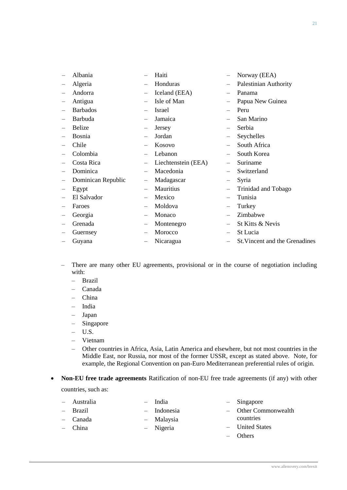21

| Albania            | Haiti               | Norway (EEA)                          |
|--------------------|---------------------|---------------------------------------|
| Algeria            | Honduras            | Palestinian Authority                 |
| Andorra            | Iceland (EEA)       | Panama                                |
| Antigua            | Isle of Man         | Papua New Guinea                      |
| <b>Barbados</b>    | <b>Israel</b>       | Peru                                  |
| Barbuda            | Jamaica             | San Marino                            |
| Belize             | Jersey              | Serbia                                |
| <b>Bosnia</b>      | Jordan              | Seychelles                            |
| Chile              | Kosovo              | South Africa                          |
| Colombia           | Lebanon             | South Korea                           |
| Costa Rica         | Liechtenstein (EEA) | Suriname                              |
| Dominica           | Macedonia           | Switzerland                           |
| Dominican Republic | Madagascar          | Syria                                 |
| Egypt              | Mauritius           | Trinidad and Tobago                   |
| El Salvador        | Mexico              | Tunisia                               |
| Faroes             | Moldova             | Turkey                                |
| Georgia            | Monaco              | Zimbabwe                              |
| Grenada            | Montenegro          | St Kitts & Nevis                      |
| Guernsey           | Morocco             | St Lucia                              |
| Guyana             | Nicaragua           | <b>St. Vincent and the Grenadines</b> |
|                    |                     |                                       |

- There are many other EU agreements, provisional or in the course of negotiation including with:
	- Brazil
	- Canada
	- China
	- India
	- Japan
	- Singapore
	- U.S.
	- Vietnam
	- Other countries in Africa, Asia, Latin America and elsewhere, but not most countries in the Middle East, nor Russia, nor most of the former USSR, except as stated above. Note, for example, the Regional Convention on pan-Euro Mediterranean preferential rules of origin.
- **Non-EU free trade agreements** Ratification of non-EU free trade agreements (if any) with other countries, such as:

| - Australia | - India     | $-$ Singapore        |
|-------------|-------------|----------------------|
| - Brazil    | - Indonesia | - Other Commonwealth |
| - Canada    | - Malaysia  | countries            |
| $-$ China   | - Nigeria   | - United States      |

– Others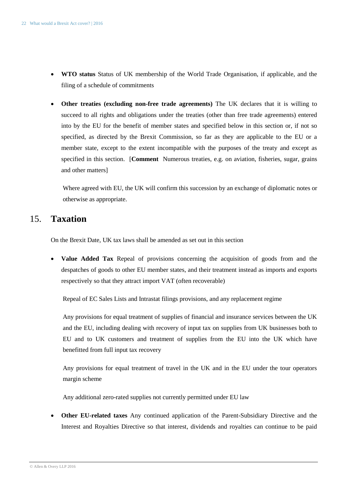- **WTO status** Status of UK membership of the World Trade Organisation, if applicable, and the filing of a schedule of commitments
- **Other treaties (excluding non-free trade agreements)** The UK declares that it is willing to succeed to all rights and obligations under the treaties (other than free trade agreements) entered into by the EU for the benefit of member states and specified below in this section or, if not so specified, as directed by the Brexit Commission, so far as they are applicable to the EU or a member state, except to the extent incompatible with the purposes of the treaty and except as specified in this section. [**Comment** Numerous treaties, e.g. on aviation, fisheries, sugar, grains and other matters]

Where agreed with EU, the UK will confirm this succession by an exchange of diplomatic notes or otherwise as appropriate.

#### 15. **Taxation**

On the Brexit Date, UK tax laws shall be amended as set out in this section

 **Value Added Tax** Repeal of provisions concerning the acquisition of goods from and the despatches of goods to other EU member states, and their treatment instead as imports and exports respectively so that they attract import VAT (often recoverable)

Repeal of EC Sales Lists and Intrastat filings provisions, and any replacement regime

Any provisions for equal treatment of supplies of financial and insurance services between the UK and the EU, including dealing with recovery of input tax on supplies from UK businesses both to EU and to UK customers and treatment of supplies from the EU into the UK which have benefitted from full input tax recovery

Any provisions for equal treatment of travel in the UK and in the EU under the tour operators margin scheme

Any additional zero-rated supplies not currently permitted under EU law

 **Other EU-related taxes** Any continued application of the Parent-Subsidiary Directive and the Interest and Royalties Directive so that interest, dividends and royalties can continue to be paid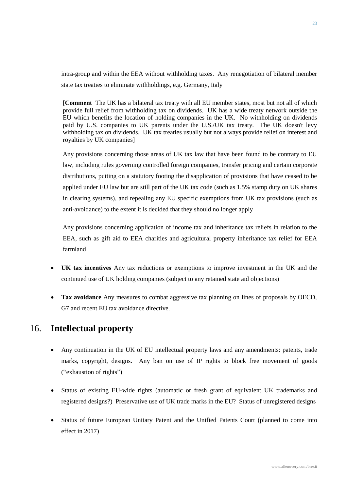intra-group and within the EEA without withholding taxes. Any renegotiation of bilateral member state tax treaties to eliminate withholdings, e.g. Germany, Italy

[**Comment** The UK has a bilateral tax treaty with all EU member states, most but not all of which provide full relief from withholding tax on dividends. UK has a wide treaty network outside the EU which benefits the location of holding companies in the UK. No withholding on dividends paid by U.S. companies to UK parents under the U.S./UK tax treaty. The UK doesn't levy withholding tax on dividends. UK tax treaties usually but not always provide relief on interest and royalties by UK companies]

Any provisions concerning those areas of UK tax law that have been found to be contrary to EU law, including rules governing controlled foreign companies, transfer pricing and certain corporate distributions, putting on a statutory footing the disapplication of provisions that have ceased to be applied under EU law but are still part of the UK tax code (such as 1.5% stamp duty on UK shares in clearing systems), and repealing any EU specific exemptions from UK tax provisions (such as anti-avoidance) to the extent it is decided that they should no longer apply

Any provisions concerning application of income tax and inheritance tax reliefs in relation to the EEA, such as gift aid to EEA charities and agricultural property inheritance tax relief for EEA farmland

- **UK tax incentives** Any tax reductions or exemptions to improve investment in the UK and the continued use of UK holding companies (subject to any retained state aid objections)
- **Tax avoidance** Any measures to combat aggressive tax planning on lines of proposals by OECD, G7 and recent EU tax avoidance directive.

#### 16. **Intellectual property**

- Any continuation in the UK of EU intellectual property laws and any amendments: patents, trade marks, copyright, designs. Any ban on use of IP rights to block free movement of goods ("exhaustion of rights")
- Status of existing EU-wide rights (automatic or fresh grant of equivalent UK trademarks and registered designs?) Preservative use of UK trade marks in the EU? Status of unregistered designs
- Status of future European Unitary Patent and the Unified Patents Court (planned to come into effect in 2017)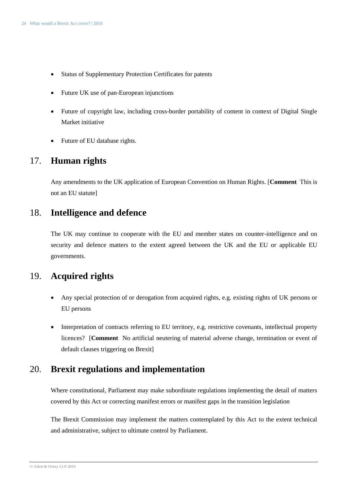- Status of Supplementary Protection Certificates for patents
- Future UK use of pan-European injunctions
- Future of copyright law, including cross-border portability of content in context of Digital Single Market initiative
- Future of EU database rights.

#### 17. **Human rights**

Any amendments to the UK application of European Convention on Human Rights. [**Comment** This is not an EU statute]

#### 18. **Intelligence and defence**

The UK may continue to cooperate with the EU and member states on counter-intelligence and on security and defence matters to the extent agreed between the UK and the EU or applicable EU governments.

#### 19. **Acquired rights**

- Any special protection of or derogation from acquired rights, e.g. existing rights of UK persons or EU persons
- Interpretation of contracts referring to EU territory, e.g. restrictive covenants, intellectual property licences? [**Comment** No artificial neutering of material adverse change, termination or event of default clauses triggering on Brexit]

#### 20. **Brexit regulations and implementation**

Where constitutional, Parliament may make subordinate regulations implementing the detail of matters covered by this Act or correcting manifest errors or manifest gaps in the transition legislation

The Brexit Commission may implement the matters contemplated by this Act to the extent technical and administrative, subject to ultimate control by Parliament.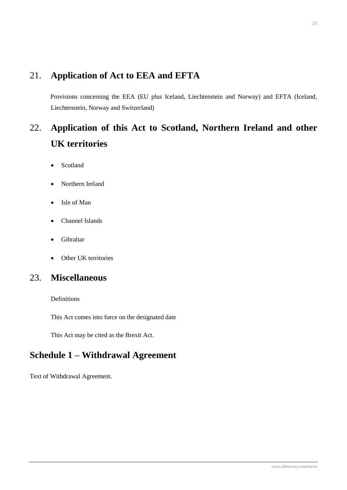#### 21. **Application of Act to EEA and EFTA**

Provisions concerning the EEA (EU plus Iceland, Liechtenstein and Norway) and EFTA (Iceland, Liechtenstein, Norway and Switzerland)

## 22. **Application of this Act to Scotland, Northern Ireland and other UK territories**

- Scotland
- Northern Ireland
- Isle of Man
- Channel Islands
- Gibraltar
- Other UK territories

#### 23. **Miscellaneous**

#### Definitions

This Act comes into force on the designated date

This Act may be cited as the Brexit Act.

#### **Schedule 1 – Withdrawal Agreement**

Text of Withdrawal Agreement.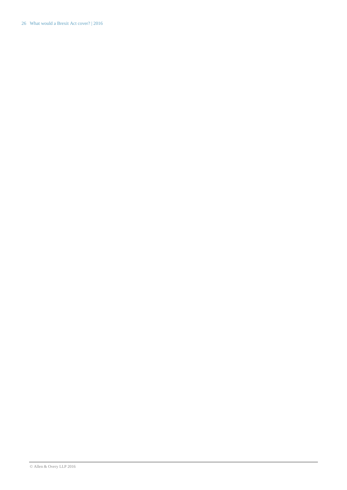26 What would a Brexit Act cover? | 2016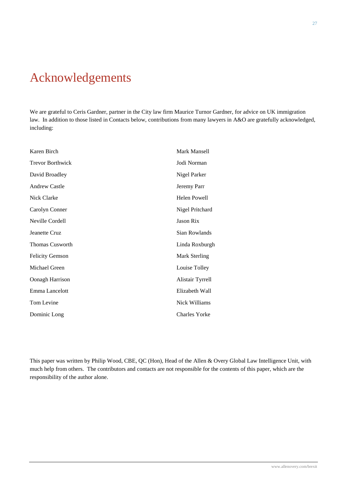## Acknowledgements

We are grateful to Ceris Gardner, partner in the City law firm Maurice Turnor Gardner, for advice on UK immigration law. In addition to those listed in Contacts below, contributions from many lawyers in A&O are gratefully acknowledged, including:

| Karen Birch             | Mark Mansell         |
|-------------------------|----------------------|
| <b>Trevor Borthwick</b> | Jodi Norman          |
| David Broadley          | Nigel Parker         |
| <b>Andrew Castle</b>    | Jeremy Parr          |
| Nick Clarke             | Helen Powell         |
| Carolyn Conner          | Nigel Pritchard      |
| Neville Cordell         | <b>Jason Rix</b>     |
| Jeanette Cruz           | Sian Rowlands        |
| <b>Thomas Cusworth</b>  | Linda Roxburgh       |
| <b>Felicity Gemson</b>  | <b>Mark Sterling</b> |
| Michael Green           | Louise Tolley        |
| <b>Oonagh Harrison</b>  | Alistair Tyrrell     |
| Emma Lancelott          | Elizabeth Wall       |
| Tom Levine              | <b>Nick Williams</b> |
| Dominic Long            | <b>Charles Yorke</b> |

This paper was written by Philip Wood, CBE, QC (Hon), Head of the Allen & Overy Global Law Intelligence Unit, with much help from others. The contributors and contacts are not responsible for the contents of this paper, which are the responsibility of the author alone.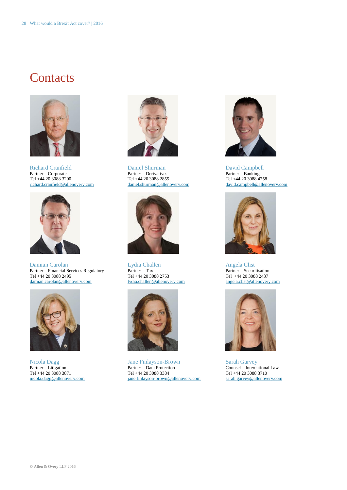## **Contacts**



Richard Cranfield Daniel Shurman David Campbell<br>Partner – Corporate Partner – Derivatives Partner – Banking Partner – Corporate Partner – Derivatives Partner – Banking



Damian Carolan Lydia Challen Angela Clist<br>Partner – Financial Services Regulatory Partner – Tax Partner – Securitisation Partner – Financial Services Regulatory<br>
Tel +44 20 3088 2495<br>
Tel +44 20 3088 2495<br>
Partner – Securitisation<br>
Partner – Securitisation<br>
Tel +44 20 3088 2437 Tel +44 20 3088 2495 [damian.carolan@allenovery.com](mailto:damian.carolan@allenovery.com) [lydia.challen@allenovery.com](mailto:lydia.challen@allenovery.com) [angela.clist@allenovery.com](mailto:angela.clist@allenovery.com)





Tel +44 20 3088 2855





Nicola Dagg Jane Finlayson-Brown Sarah Garvey Partner – Litigation Partner – Data Protection Counsel – International Law<br>
Tel +44 20 3088 3871 Tel +44 20 3088 3384 Tel +44 20 3088 3710 Tel +44 20 3088 3871 Tel +44 20 3088 3384 Tel +44 20 3088 3710<br>
<u>Tel +44 20 3088 3710</u><br>
<u>
Tel +44 20 3088 3710</u><br>
<u>
Inne.finlayson-brown@allenovery.com</u><br>
Sarah.garvey@allenovery.com [jane.finlayson-brown@allenovery.com](mailto:jane.finlayson-brown@allenovery.com)



[richard.cranfield@allenovery.com](mailto:richard.cranfield@allenovery.com) [daniel.shurman@allenovery.com](mailto:daniel.shurman@allenovery.com) [david.campbell@allenovery.com](mailto:david.campbell@allenovery.com)



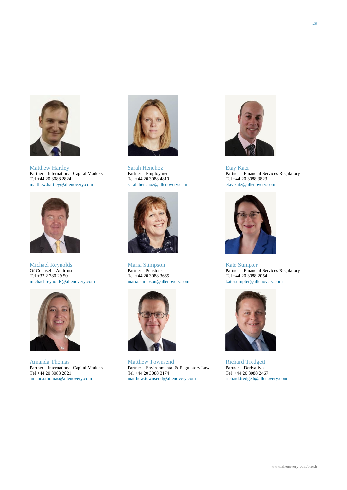

Matthew Hartley Sarah Henchoz Etay Katz Tel +44 20 3088 2824 Tel +44 20 3088 4810 Tel +44 20 3088 3823 [matthew.hartley@allenovery.com](mailto:matthew.hartley@allenovery.com) [sarah.henchoz@allenovery.com](mailto:sarah.henchoz@allenovery.com) [etay.katz@allenovery.com](mailto:etay.katz@allenovery.com)



Michael Reynolds<br>
Of Counsel – Antitrust<br>
Of Counsel – Antitrust<br>
Of Counsel – Antitrust<br>
Of Counsel – Antitrust<br>
Of Counsel – Antitrust<br>
Of Counsel – Antitrust<br>
Of Counsel – Antitrust<br>
Of Counsel – Antitrust<br>
Of Counsel – [michael.reynolds@allenovery.com](mailto:michael.reynolds@allenovery.com) [maria.stimpson@allenovery.com](mailto:maria.stimpson@allenovery.com) [kate.sumpter@allenovery.com](mailto:kate.sumpter@allenovery.com)







Tel +44 20 3088 3665



Amanda Thomas Matthew Townsend Richard Tredgett Partner – International Capital Markets Partner – Environmental & Regulatory Law Tel +44 20 3088 3221 Tel +44 20 3088 3174 Tel +44 20 3088 2821 Tel +44 20 3088 2174 Tel +44 20 3088 2467<br>amanda.thomas@allenovery.com matthew.townsend@allenovery.com richard.tredgett@allenovery.com matthew.townsend@allenovery.com



Partner – Financial Services Regulatory



Of Counsel – Antitrust Partner – Pensions Partner – Pensions Partner – Financial Services Regulatory<br>
Tel +42 0 3088 3665 Pensions Partner – Pensions Partner – Pinancial Services Regulatory

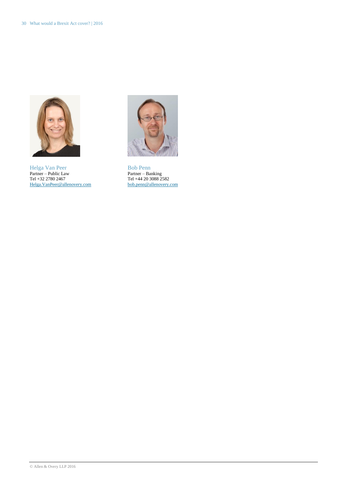

Helga Van Peer Bob Penn Partner – Public Law Partner – Banking [Helga.VanPeer@allenovery.com](mailto:Helga.VanPeer@allenovery.com)



Partner – Banking<br>Tel +44 20 3088 2582<br>bob.penn@allenovery.com